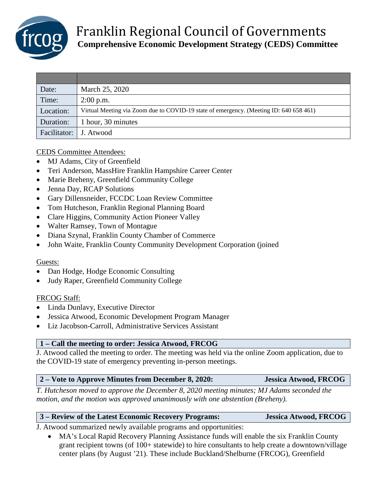

| Date:                  | March 25, 2020                                                                         |
|------------------------|----------------------------------------------------------------------------------------|
| Time:                  | $2:00$ p.m.                                                                            |
| Location:              | Virtual Meeting via Zoom due to COVID-19 state of emergency. (Meeting ID: 640 658 461) |
| Duration:              | 1 hour, 30 minutes                                                                     |
| Facilitator: J. Atwood |                                                                                        |

#### CEDS Committee Attendees:

- MJ Adams, City of Greenfield
- Teri Anderson, MassHire Franklin Hampshire Career Center
- Marie Breheny, Greenfield Community College
- Jenna Day, RCAP Solutions
- Gary Dillensneider, FCCDC Loan Review Committee
- Tom Hutcheson, Franklin Regional Planning Board
- Clare Higgins, Community Action Pioneer Valley
- Walter Ramsey, Town of Montague
- Diana Szynal, Franklin County Chamber of Commerce
- John Waite, Franklin County Community Development Corporation (joined

#### Guests:

- Dan Hodge, Hodge Economic Consulting
- Judy Raper, Greenfield Community College

#### FRCOG Staff:

- Linda Dunlavy, Executive Director
- Jessica Atwood, Economic Development Program Manager
- Liz Jacobson-Carroll, Administrative Services Assistant

#### **1 – Call the meeting to order: Jessica Atwood, FRCOG**

J. Atwood called the meeting to order. The meeting was held via the online Zoom application, due to the COVID-19 state of emergency preventing in-person meetings.

#### **2 – Vote to Approve Minutes from December 8, 2020: Jessica Atwood, FRCOG**

*T. Hutcheson moved to approve the December 8, 2020 meeting minutes; MJ Adams seconded the motion, and the motion was approved unanimously with one abstention (Breheny).* 

| 3 – Review of the Latest Economic Recovery Programs: | Jessica Atwood, FRCOG |
|------------------------------------------------------|-----------------------|
|                                                      |                       |

J. Atwood summarized newly available programs and opportunities:

• MA's Local Rapid Recovery Planning Assistance funds will enable the six Franklin County grant recipient towns (of 100+ statewide) to hire consultants to help create a downtown/village center plans (by August '21). These include Buckland/Shelburne (FRCOG), Greenfield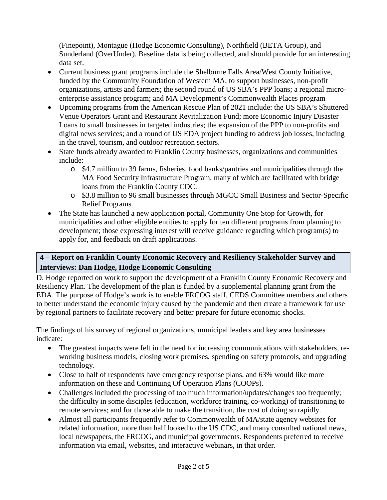(Finepoint), Montague (Hodge Economic Consulting), Northfield (BETA Group), and Sunderland (OverUnder). Baseline data is being collected, and should provide for an interesting data set.

- Current business grant programs include the Shelburne Falls Area/West County Initiative, funded by the Community Foundation of Western MA, to support businesses, non-profit organizations, artists and farmers; the second round of US SBA's PPP loans; a regional microenterprise assistance program; and MA Development's Commonwealth Places program
- Upcoming programs from the American Rescue Plan of 2021 include: the US SBA's Shuttered Venue Operators Grant and Restaurant Revitalization Fund; more Economic Injury Disaster Loans to small businesses in targeted industries; the expansion of the PPP to non-profits and digital news services; and a round of US EDA project funding to address job losses, including in the travel, tourism, and outdoor recreation sectors.
- State funds already awarded to Franklin County businesses, organizations and communities include:
	- o \$4.7 million to 39 farms, fisheries, food banks/pantries and municipalities through the MA Food Security Infrastructure Program, many of which are facilitated with bridge loans from the Franklin County CDC.
	- o \$3.8 million to 96 small businesses through MGCC Small Business and Sector-Specific Relief Programs
- The State has launched a new application portal, Community One Stop for Growth, for municipalities and other eligible entities to apply for ten different programs from planning to development; those expressing interest will receive guidance regarding which program(s) to apply for, and feedback on draft applications.

## **4 – Report on Franklin County Economic Recovery and Resiliency Stakeholder Survey and Interviews: Dan Hodge, Hodge Economic Consulting**

D. Hodge reported on work to support the development of a Franklin County Economic Recovery and Resiliency Plan. The development of the plan is funded by a supplemental planning grant from the EDA. The purpose of Hodge's work is to enable FRCOG staff, CEDS Committee members and others to better understand the economic injury caused by the pandemic and then create a framework for use by regional partners to facilitate recovery and better prepare for future economic shocks.

The findings of his survey of regional organizations, municipal leaders and key area businesses indicate:

- The greatest impacts were felt in the need for increasing communications with stakeholders, reworking business models, closing work premises, spending on safety protocols, and upgrading technology.
- Close to half of respondents have emergency response plans, and 63% would like more information on these and Continuing Of Operation Plans (COOPs).
- Challenges included the processing of too much information/updates/changes too frequently; the difficulty in some disciples (education, workforce training, co-working) of transitioning to remote services; and for those able to make the transition, the cost of doing so rapidly.
- Almost all participants frequently refer to Commonwealth of MA/state agency websites for related information, more than half looked to the US CDC, and many consulted national news, local newspapers, the FRCOG, and municipal governments. Respondents preferred to receive information via email, websites, and interactive webinars, in that order.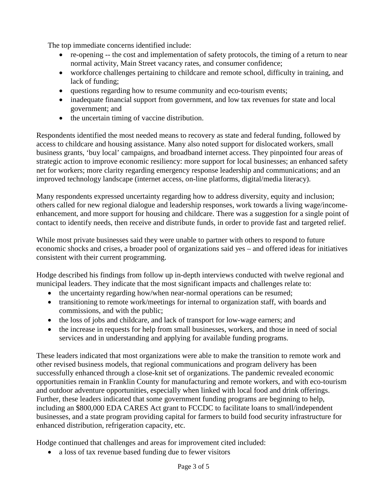The top immediate concerns identified include:

- re-opening -- the cost and implementation of safety protocols, the timing of a return to near normal activity, Main Street vacancy rates, and consumer confidence;
- workforce challenges pertaining to childcare and remote school, difficulty in training, and lack of funding;
- questions regarding how to resume community and eco-tourism events;
- inadequate financial support from government, and low tax revenues for state and local government; and
- the uncertain timing of vaccine distribution.

Respondents identified the most needed means to recovery as state and federal funding, followed by access to childcare and housing assistance. Many also noted support for dislocated workers, small business grants, 'buy local' campaigns, and broadband internet access. They pinpointed four areas of strategic action to improve economic resiliency: more support for local businesses; an enhanced safety net for workers; more clarity regarding emergency response leadership and communications; and an improved technology landscape (internet access, on-line platforms, digital/media literacy).

Many respondents expressed uncertainty regarding how to address diversity, equity and inclusion; others called for new regional dialogue and leadership responses, work towards a living wage/incomeenhancement, and more support for housing and childcare. There was a suggestion for a single point of contact to identify needs, then receive and distribute funds, in order to provide fast and targeted relief.

While most private businesses said they were unable to partner with others to respond to future economic shocks and crises, a broader pool of organizations said yes – and offered ideas for initiatives consistent with their current programming.

Hodge described his findings from follow up in-depth interviews conducted with twelve regional and municipal leaders. They indicate that the most significant impacts and challenges relate to:

- the uncertainty regarding how/when near-normal operations can be resumed;
- transitioning to remote work/meetings for internal to organization staff, with boards and commissions, and with the public;
- the loss of jobs and childcare, and lack of transport for low-wage earners; and
- the increase in requests for help from small businesses, workers, and those in need of social services and in understanding and applying for available funding programs.

These leaders indicated that most organizations were able to make the transition to remote work and other revised business models, that regional communications and program delivery has been successfully enhanced through a close-knit set of organizations. The pandemic revealed economic opportunities remain in Franklin County for manufacturing and remote workers, and with eco-tourism and outdoor adventure opportunities, especially when linked with local food and drink offerings. Further, these leaders indicated that some government funding programs are beginning to help, including an \$800,000 EDA CARES Act grant to FCCDC to facilitate loans to small/independent businesses, and a state program providing capital for farmers to build food security infrastructure for enhanced distribution, refrigeration capacity, etc.

Hodge continued that challenges and areas for improvement cited included:

• a loss of tax revenue based funding due to fewer visitors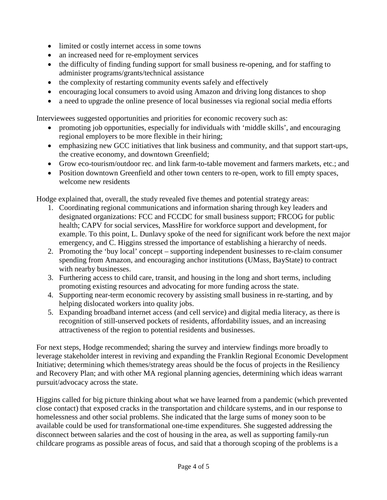- limited or costly internet access in some towns
- an increased need for re-employment services
- the difficulty of finding funding support for small business re-opening, and for staffing to administer programs/grants/technical assistance
- the complexity of restarting community events safely and effectively
- encouraging local consumers to avoid using Amazon and driving long distances to shop
- a need to upgrade the online presence of local businesses via regional social media efforts

Interviewees suggested opportunities and priorities for economic recovery such as:

- promoting job opportunities, especially for individuals with 'middle skills', and encouraging regional employers to be more flexible in their hiring;
- emphasizing new GCC initiatives that link business and community, and that support start-ups, the creative economy, and downtown Greenfield;
- Grow eco-tourism/outdoor rec. and link farm-to-table movement and farmers markets, etc.; and
- Position downtown Greenfield and other town centers to re-open, work to fill empty spaces, welcome new residents

Hodge explained that, overall, the study revealed five themes and potential strategy areas:

- 1. Coordinating regional communications and information sharing through key leaders and designated organizations: FCC and FCCDC for small business support; FRCOG for public health; CAPV for social services, MassHire for workforce support and development, for example. To this point, L. Dunlavy spoke of the need for significant work before the next major emergency, and C. Higgins stressed the importance of establishing a hierarchy of needs.
- 2. Promoting the 'buy local' concept supporting independent businesses to re-claim consumer spending from Amazon, and encouraging anchor institutions (UMass, BayState) to contract with nearby businesses.
- 3. Furthering access to child care, transit, and housing in the long and short terms, including promoting existing resources and advocating for more funding across the state.
- 4. Supporting near-term economic recovery by assisting small business in re-starting, and by helping dislocated workers into quality jobs.
- 5. Expanding broadband internet access (and cell service) and digital media literacy, as there is recognition of still-unserved pockets of residents, affordability issues, and an increasing attractiveness of the region to potential residents and businesses.

For next steps, Hodge recommended; sharing the survey and interview findings more broadly to leverage stakeholder interest in reviving and expanding the Franklin Regional Economic Development Initiative; determining which themes/strategy areas should be the focus of projects in the Resiliency and Recovery Plan; and with other MA regional planning agencies, determining which ideas warrant pursuit/advocacy across the state.

Higgins called for big picture thinking about what we have learned from a pandemic (which prevented close contact) that exposed cracks in the transportation and childcare systems, and in our response to homelessness and other social problems. She indicated that the large sums of money soon to be available could be used for transformational one-time expenditures. She suggested addressing the disconnect between salaries and the cost of housing in the area, as well as supporting family-run childcare programs as possible areas of focus, and said that a thorough scoping of the problems is a